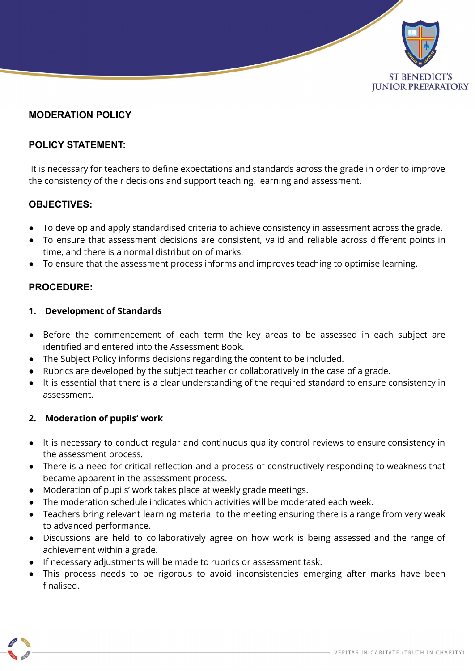

# **MODERATION POLICY**

# **POLICY STATEMENT:**

It is necessary for teachers to define expectations and standards across the grade in order to improve the consistency of their decisions and support teaching, learning and assessment.

## **OBJECTIVES:**

- To develop and apply standardised criteria to achieve consistency in assessment across the grade.
- To ensure that assessment decisions are consistent, valid and reliable across different points in time, and there is a normal distribution of marks.
- To ensure that the assessment process informs and improves teaching to optimise learning.

### **PROCEDURE:**

#### **1. Development of Standards**

- Before the commencement of each term the key areas to be assessed in each subject are identified and entered into the Assessment Book.
- The Subject Policy informs decisions regarding the content to be included.
- Rubrics are developed by the subject teacher or collaboratively in the case of a grade.
- It is essential that there is a clear understanding of the required standard to ensure consistency in assessment.

## **2. Moderation of pupils' work**

- It is necessary to conduct regular and continuous quality control reviews to ensure consistency in the assessment process.
- There is a need for critical reflection and a process of constructively responding to weakness that became apparent in the assessment process.
- Moderation of pupils' work takes place at weekly grade meetings.
- The moderation schedule indicates which activities will be moderated each week.
- Teachers bring relevant learning material to the meeting ensuring there is a range from very weak to advanced performance.
- Discussions are held to collaboratively agree on how work is being assessed and the range of achievement within a grade.
- If necessary adjustments will be made to rubrics or assessment task.
- This process needs to be rigorous to avoid inconsistencies emerging after marks have been finalised.